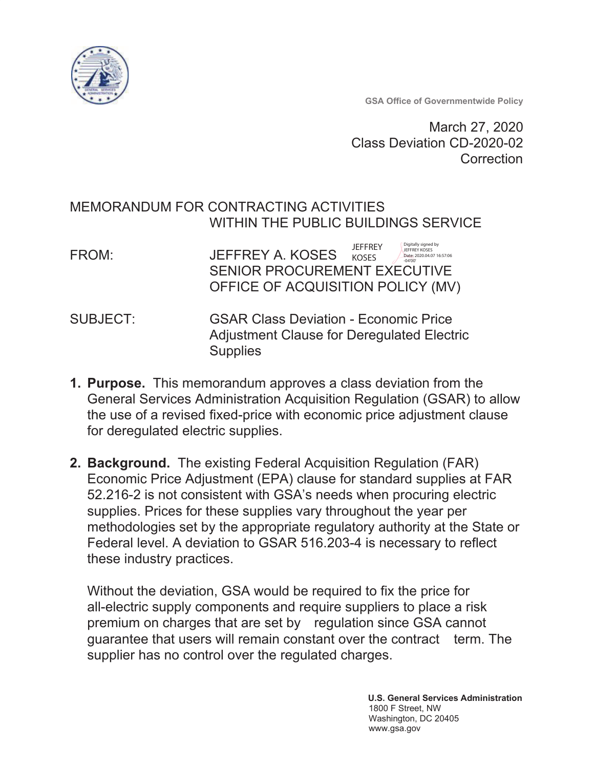

**GSA Office of Governmentwide Policy** 

March 27, 2020 Class Deviation CD-2020-02 Correction

# MEMORANDUM FOR CONTRACTING ACTIVITIES WITHIN THE PUBLIC BUILDINGS SERVICE

| FROM: | JEFFREY A. KOSES                    | <b>JFFFRFY</b><br><b>KOSES</b> | Digitally signed by<br><b>JEFFREY KOSES</b><br>Date: 2020.04.07 16:57:06<br>$-04'00'$ |
|-------|-------------------------------------|--------------------------------|---------------------------------------------------------------------------------------|
|       | <b>SENIOR PROCUREMENT EXECUTIVE</b> |                                |                                                                                       |
|       | OFFICE OF ACQUISITION POLICY (MV)   |                                |                                                                                       |

- **GSAR Class Deviation Economic Price** SUBJECT: **Adjustment Clause for Deregulated Electric Supplies**
- 1. Purpose. This memorandum approves a class deviation from the General Services Administration Acquisition Regulation (GSAR) to allow the use of a revised fixed-price with economic price adjustment clause for deregulated electric supplies.
- 2. Background. The existing Federal Acquisition Regulation (FAR) Economic Price Adjustment (EPA) clause for standard supplies at FAR 52.216-2 is not consistent with GSA's needs when procuring electric supplies. Prices for these supplies vary throughout the year per methodologies set by the appropriate regulatory authority at the State or Federal level. A deviation to GSAR 516.203-4 is necessary to reflect these industry practices.

Without the deviation, GSA would be required to fix the price for all-electric supply components and require suppliers to place a risk premium on charges that are set by regulation since GSA cannot quarantee that users will remain constant over the contract term. The supplier has no control over the regulated charges.

> **U.S. General Services Administration** 1800 F Street, NW Washington, DC 20405 www.gsa.gov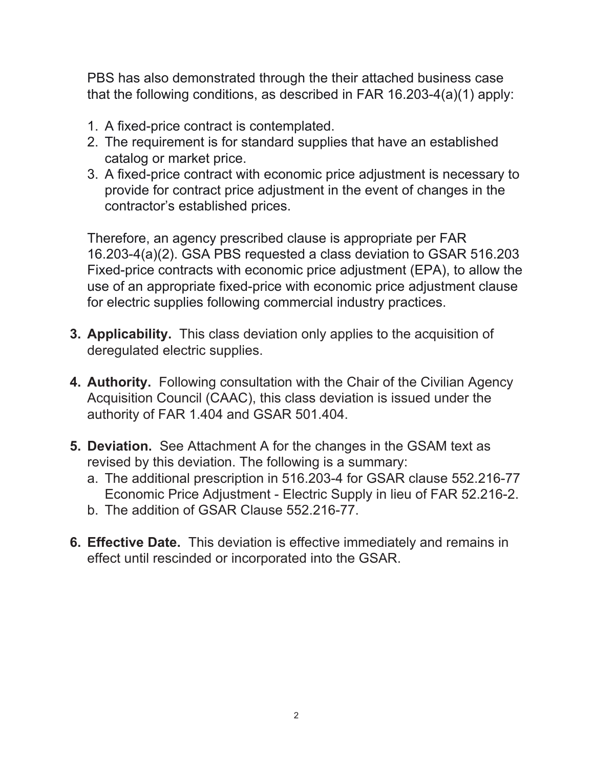PBS has also demonstrated through the their attached business case that the following conditions, as described in FAR 16.203-4(a)(1) apply:

- 1. A fixed-price contract is contemplated.
- 2. The requirement is for standard supplies that have an established catalog or market price.
- 3. A fixed-price contract with economic price adjustment is necessary to provide for contract price adjustment in the event of changes in the contractor's established prices.

Therefore, an agency prescribed clause is appropriate per FAR 16.203-4(a)(2). GSA PBS requested a class deviation to GSAR 516.203 Fixed-price contracts with economic price adjustment (EPA), to allow the use of an appropriate fixed-price with economic price adjustment clause for electric supplies following commercial industry practices.

- 3. Applicability. This class deviation only applies to the acquisition of deregulated electric supplies.
- 4. Authority. Following consultation with the Chair of the Civilian Agency Acquisition Council (CAAC), this class deviation is issued under the authority of FAR 1.404 and GSAR 501.404.
- **5. Deviation.** See Attachment A for the changes in the GSAM text as revised by this deviation. The following is a summary:
	- a. The additional prescription in 516.203-4 for GSAR clause 552.216-77 Economic Price Adjustment - Electric Supply in lieu of FAR 52.216-2.
	- b. The addition of GSAR Clause 552.216-77.
- 6. Effective Date. This deviation is effective immediately and remains in effect until rescinded or incorporated into the GSAR.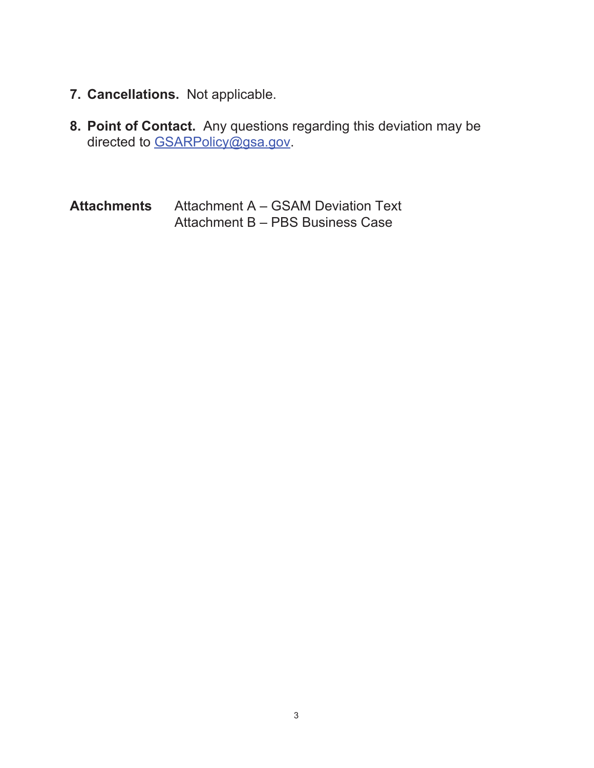- 7. Cancellations. Not applicable.
- 8. Point of Contact. Any questions regarding this deviation may be directed to GSARPolicy@gsa.gov.

**Attachments** Attachment A - GSAM Deviation Text Attachment B - PBS Business Case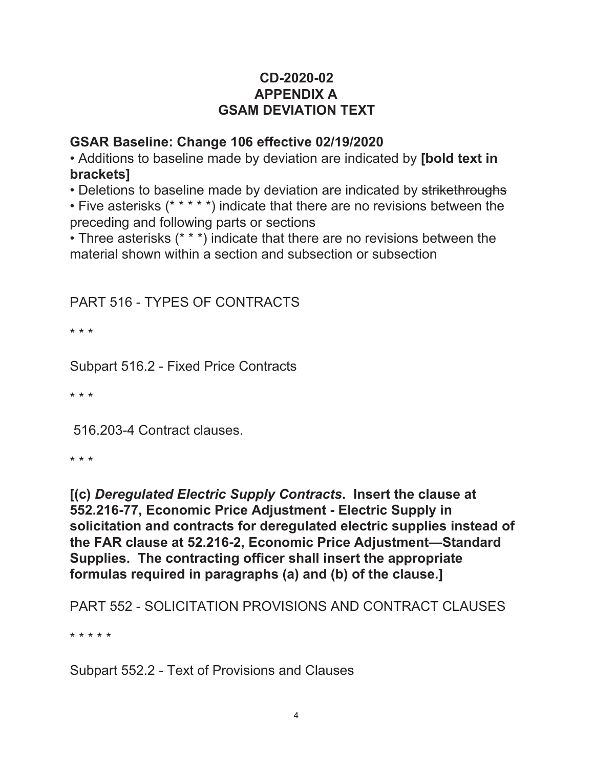# CD-2020-02 **APPENDIX A GSAM DEVIATION TEXT**

# GSAR Baseline: Change 106 effective 02/19/2020

• Additions to baseline made by deviation are indicated by [bold text in **brackets1** 

• Deletions to baseline made by deviation are indicated by strikethroughs

• Five asterisks (\* \* \* \* \*) indicate that there are no revisions between the preceding and following parts or sections

• Three asterisks (\* \* \*) indicate that there are no revisions between the material shown within a section and subsection or subsection

# **PART 516 - TYPES OF CONTRACTS**

 $* * *$ 

Subpart 516.2 - Fixed Price Contracts

\* \* \*

516.203-4 Contract clauses.

\* \* \*

[(c) Deregulated Electric Supply Contracts. Insert the clause at 552.216-77, Economic Price Adjustment - Electric Supply in solicitation and contracts for deregulated electric supplies instead of the FAR clause at 52.216-2, Economic Price Adjustment-Standard Supplies. The contracting officer shall insert the appropriate formulas required in paragraphs (a) and (b) of the clause.]

**PART 552 - SOLICITATION PROVISIONS AND CONTRACT CLAUSES** 

\* \* \* \* \*

Subpart 552.2 - Text of Provisions and Clauses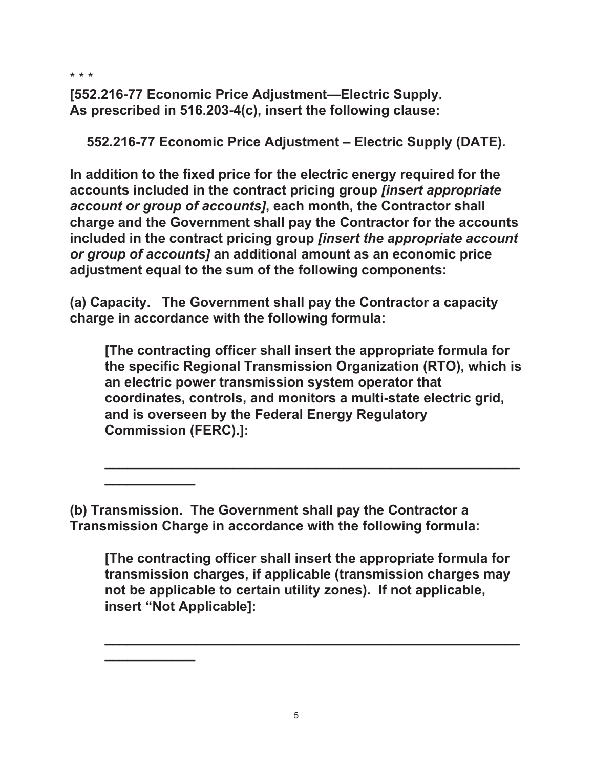\* \* \*

[552.216-77 Economic Price Adjustment-Electric Supply. As prescribed in 516.203-4(c), insert the following clause:

552.216-77 Economic Price Adjustment - Electric Supply (DATE).

In addition to the fixed price for the electric energy required for the accounts included in the contract pricing group *linsert appropriate* account or group of accounts], each month, the Contractor shall charge and the Government shall pay the Contractor for the accounts included in the contract pricing group [insert the appropriate account or group of accounts] an additional amount as an economic price adjustment equal to the sum of the following components:

(a) Capacity. The Government shall pay the Contractor a capacity charge in accordance with the following formula:

[The contracting officer shall insert the appropriate formula for the specific Regional Transmission Organization (RTO), which is an electric power transmission system operator that coordinates, controls, and monitors a multi-state electric grid, and is overseen by the Federal Energy Regulatory **Commission (FERC).]:** 

(b) Transmission. The Government shall pay the Contractor a Transmission Charge in accordance with the following formula:

[The contracting officer shall insert the appropriate formula for transmission charges, if applicable (transmission charges may not be applicable to certain utility zones). If not applicable, insert "Not Applicable]: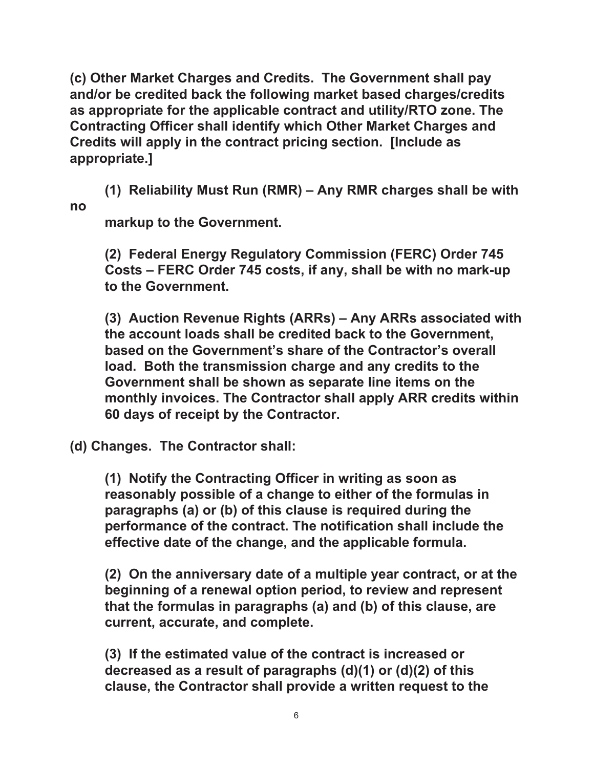(c) Other Market Charges and Credits. The Government shall pay and/or be credited back the following market based charges/credits as appropriate for the applicable contract and utility/RTO zone. The Contracting Officer shall identify which Other Market Charges and Credits will apply in the contract pricing section. [Include as appropriate.]

(1) Reliability Must Run (RMR) – Any RMR charges shall be with no

markup to the Government.

(2) Federal Energy Regulatory Commission (FERC) Order 745 Costs - FERC Order 745 costs, if any, shall be with no mark-up to the Government.

(3) Auction Revenue Rights (ARRs) - Any ARRs associated with the account loads shall be credited back to the Government. based on the Government's share of the Contractor's overall load. Both the transmission charge and any credits to the Government shall be shown as separate line items on the monthly invoices. The Contractor shall apply ARR credits within 60 days of receipt by the Contractor.

(d) Changes. The Contractor shall:

(1) Notify the Contracting Officer in writing as soon as reasonably possible of a change to either of the formulas in paragraphs (a) or (b) of this clause is required during the performance of the contract. The notification shall include the effective date of the change, and the applicable formula.

(2) On the anniversary date of a multiple year contract, or at the beginning of a renewal option period, to review and represent that the formulas in paragraphs (a) and (b) of this clause, are current, accurate, and complete.

(3) If the estimated value of the contract is increased or decreased as a result of paragraphs  $(d)(1)$  or  $(d)(2)$  of this clause, the Contractor shall provide a written request to the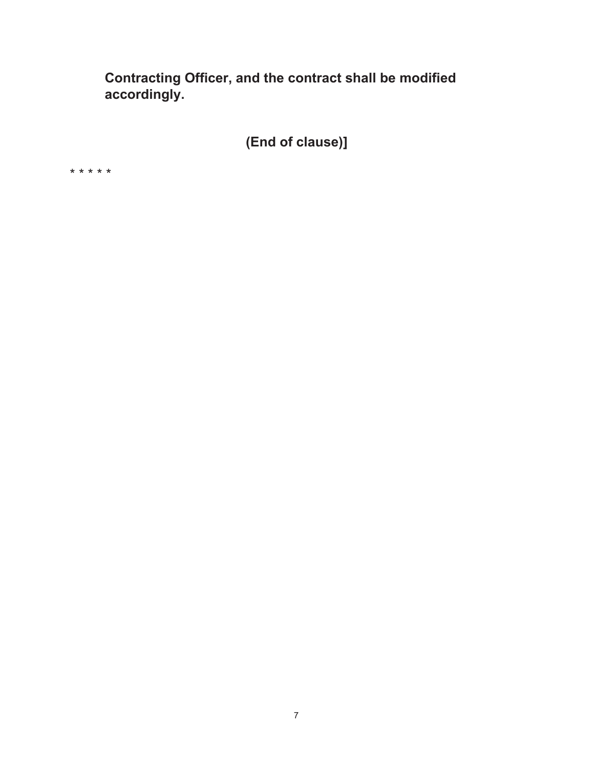Contracting Officer, and the contract shall be modified accordingly.

(End of clause)]

\* \* \* \* \*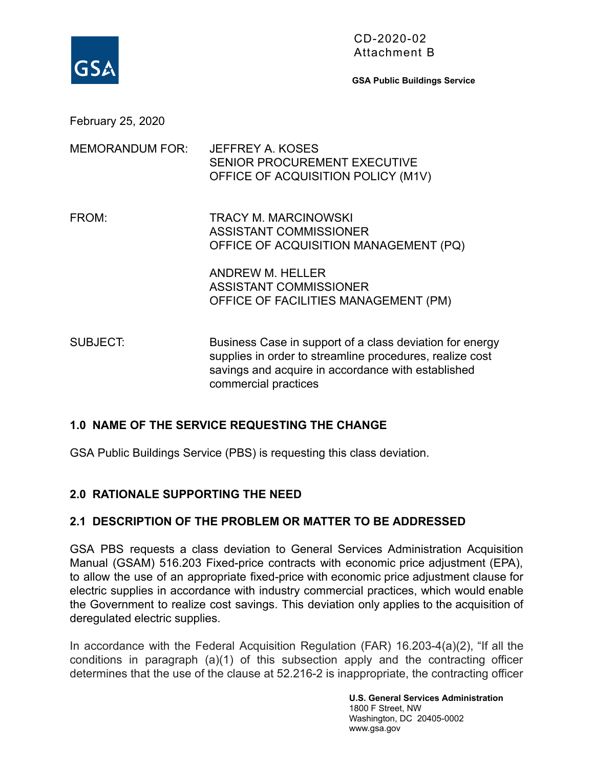

CD-2020-02 Attachment B

**GSA Public Buildings Service** 

February 25, 2020

| <b>MEMORANDUM FOR:</b> | JEFFREY A. KOSES<br><b>SENIOR PROCUREMENT EXECUTIVE</b><br>OFFICE OF ACQUISITION POLICY (M1V)                                                                                                      |
|------------------------|----------------------------------------------------------------------------------------------------------------------------------------------------------------------------------------------------|
| FROM:                  | <b>TRACY M. MARCINOWSKI</b><br><b>ASSISTANT COMMISSIONER</b><br>OFFICE OF ACQUISITION MANAGEMENT (PQ)                                                                                              |
|                        | <b>ANDREW M. HELLER</b><br>ASSISTANT COMMISSIONER<br>OFFICE OF FACILITIES MANAGEMENT (PM)                                                                                                          |
| <b>SUBJECT:</b>        | Business Case in support of a class deviation for energy<br>supplies in order to streamline procedures, realize cost<br>savings and acquire in accordance with established<br>commercial practices |

#### **1.0 NAME OF THE SERVICE REQUESTING THE CHANGE**

GSA Public Buildings Service (PBS) is requesting this class deviation.

#### **2.0 RATIONALE SUPPORTING THE NEED**

#### **2.1 DESCRIPTION OF THE PROBLEM OR MATTER TO BE ADDRESSED**

GSA PBS requests a class deviation to General Services Administration Acquisition Manual (GSAM) 516.203 Fixed-price contracts with economic price adjustment (EPA), to allow the use of an appropriate fixed-price with economic price adjustment clause for electric supplies in accordance with industry commercial practices, which would enable the Government to realize cost savings. This deviation only applies to the acquisition of deregulated electric supplies.

In accordance with the Federal Acquisition Regulation (FAR) 16.203-4(a)(2), "If all the conditions in paragraph (a)(1) of this subsection apply and the contracting officer determines that the use of the clause at 52.216-2 is inappropriate, the contracting officer

> **U.S. General Services Administration**  1800 F Street, NW Washington, DC 20405-0002 www.gsa.gov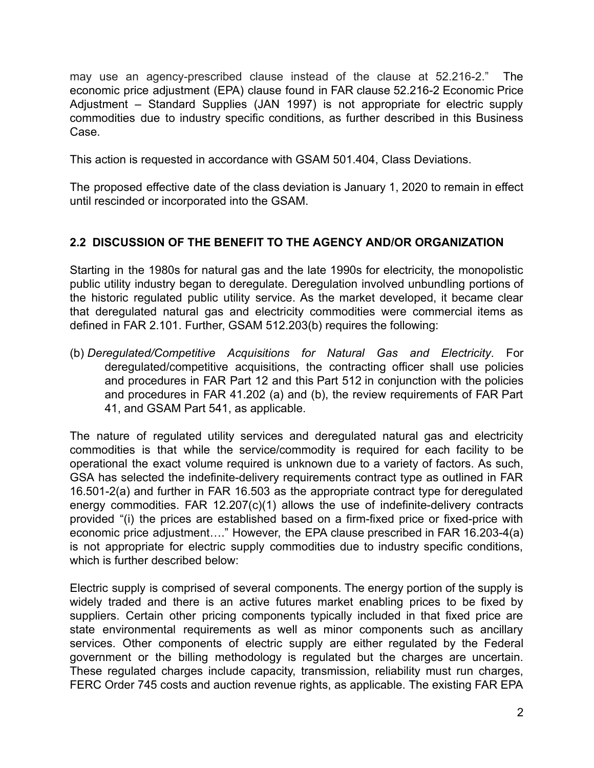may use an agency-prescribed clause instead of the clause at 52.216-2." The economic price adjustment (EPA) clause found in FAR clause 52.216-2 Economic Price Adjustment – Standard Supplies (JAN 1997) is not appropriate for electric supply commodities due to industry specific conditions, as further described in this Business Case.

This action is requested in accordance with GSAM 501.404, Class Deviations.

The proposed effective date of the class deviation is January 1, 2020 to remain in effect until rescinded or incorporated into the GSAM.

# **2.2 DISCUSSION OF THE BENEFIT TO THE AGENCY AND/OR ORGANIZATION**

Starting in the 1980s for natural gas and the late 1990s for electricity, the monopolistic public utility industry began to deregulate. Deregulation involved unbundling portions of the historic regulated public utility service. As the market developed, it became clear that deregulated natural gas and electricity commodities were commercial items as defined in FAR 2.101. Further, GSAM 512.203(b) requires the following:

(b) *Deregulated/Competitive Acquisitions for Natural Gas and Electricity* . For deregulated/competitive acquisitions, the contracting officer shall use policies and procedures in FAR Part 12 and this Part 512 in conjunction with the policies and procedures in FAR 41.202 (a) and (b), the review requirements of FAR Part 41, and GSAM Part 541, as applicable.

The nature of regulated utility services and deregulated natural gas and electricity commodities is that while the service/commodity is required for each facility to be operational the exact volume required is unknown due to a variety of factors. As such, GSA has selected the indefinite-delivery requirements contract type as outlined in FAR 16.501-2(a) and further in FAR 16.503 as the appropriate contract type for deregulated energy commodities. FAR 12.207(c)(1) allows the use of indefinite-delivery contracts provided "(i) the prices are established based on a firm-fixed price or fixed-price with economic price adjustment…." However, the EPA clause prescribed in FAR 16.203-4(a) is not appropriate for electric supply commodities due to industry specific conditions, which is further described below:

Electric supply is comprised of several components. The energy portion of the supply is widely traded and there is an active futures market enabling prices to be fixed by suppliers. Certain other pricing components typically included in that fixed price are state environmental requirements as well as minor components such as ancillary services. Other components of electric supply are either regulated by the Federal government or the billing methodology is regulated but the charges are uncertain. These regulated charges include capacity, transmission, reliability must run charges, FERC Order 745 costs and auction revenue rights, as applicable. The existing FAR EPA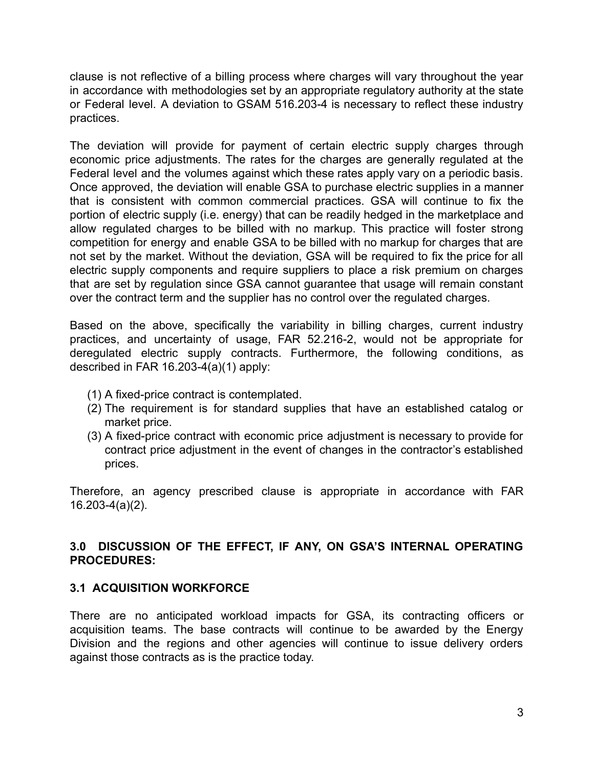clause is not reflective of a billing process where charges will vary throughout the year in accordance with methodologies set by an appropriate regulatory authority at the state or Federal level. A deviation to GSAM 516.203-4 is necessary to reflect these industry practices.

The deviation will provide for payment of certain electric supply charges through economic price adjustments. The rates for the charges are generally regulated at the Federal level and the volumes against which these rates apply vary on a periodic basis. Once approved, the deviation will enable GSA to purchase electric supplies in a manner that is consistent with common commercial practices. GSA will continue to fix the portion of electric supply (i.e. energy) that can be readily hedged in the marketplace and allow regulated charges to be billed with no markup. This practice will foster strong competition for energy and enable GSA to be billed with no markup for charges that are not set by the market. Without the deviation, GSA will be required to fix the price for all electric supply components and require suppliers to place a risk premium on charges that are set by regulation since GSA cannot guarantee that usage will remain constant over the contract term and the supplier has no control over the regulated charges.

Based on the above, specifically the variability in billing charges, current industry practices, and uncertainty of usage, FAR 52.216-2, would not be appropriate for deregulated electric supply contracts. Furthermore, the following conditions, as described in FAR 16.203-4(a)(1) apply:

- (1) A fixed-price contract is contemplated.
- (2) The requirement is for standard supplies that have an established catalog or market price.
- (3) A fixed-price contract with economic price adjustment is necessary to provide for contract price adjustment in the event of changes in the contractor's established prices.

Therefore, an agency prescribed clause is appropriate in accordance with FAR 16.203-4(a)(2).

## **3.0 DISCUSSION OF THE EFFECT, IF ANY, ON GSA'S INTERNAL OPERATING PROCEDURES:**

## **3.1 ACQUISITION WORKFORCE**

There are no anticipated workload impacts for GSA, its contracting officers or acquisition teams. The base contracts will continue to be awarded by the Energy Division and the regions and other agencies will continue to issue delivery orders against those contracts as is the practice today.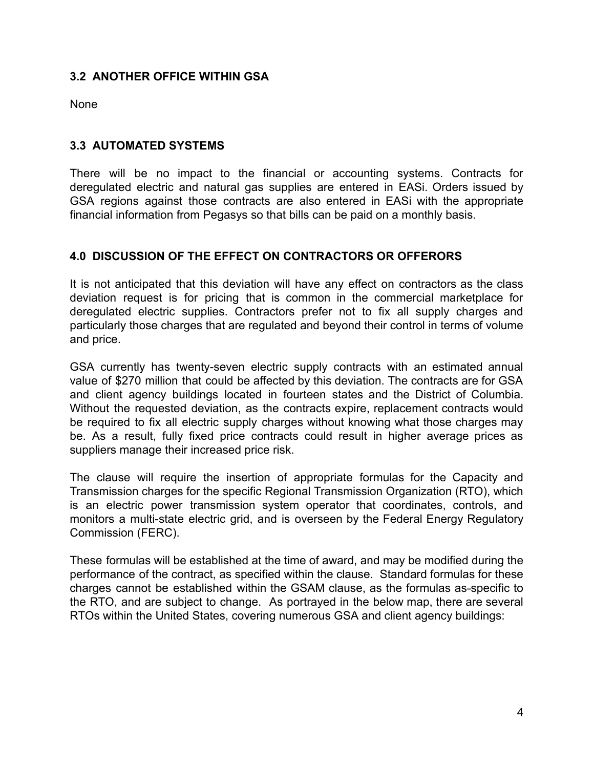## **3.2 ANOTHER OFFICE WITHIN GSA**

None

#### **3.3 AUTOMATED SYSTEMS**

There will be no impact to the financial or accounting systems. Contracts for deregulated electric and natural gas supplies are entered in EASi. Orders issued by GSA regions against those contracts are also entered in EASi with the appropriate financial information from Pegasys so that bills can be paid on a monthly basis.

## **4.0 DISCUSSION OF THE EFFECT ON CONTRACTORS OR OFFERORS**

It is not anticipated that this deviation will have any effect on contractors as the class deviation request is for pricing that is common in the commercial marketplace for deregulated electric supplies. Contractors prefer not to fix all supply charges and particularly those charges that are regulated and beyond their control in terms of volume and price.

GSA currently has twenty-seven electric supply contracts with an estimated annual value of \$270 million that could be affected by this deviation. The contracts are for GSA and client agency buildings located in fourteen states and the District of Columbia. Without the requested deviation, as the contracts expire, replacement contracts would be required to fix all electric supply charges without knowing what those charges may be. As a result, fully fixed price contracts could result in higher average prices as suppliers manage their increased price risk.

The clause will require the insertion of appropriate formulas for the Capacity and Transmission charges for the specific Regional Transmission Organization (RTO), which is an electric power transmission system operator that coordinates, controls, and monitors a multi-state electric grid, and is overseen by the Federal Energy Regulatory Commission (FERC).

These formulas will be established at the time of award, and may be modified during the performance of the contract, as specified within the clause. Standard formulas for these charges cannot be established within the GSAM clause, as the formulas as-specific to the RTO, and are subject to change. As portrayed in the below map, there are several RTOs within the United States, covering numerous GSA and client agency buildings: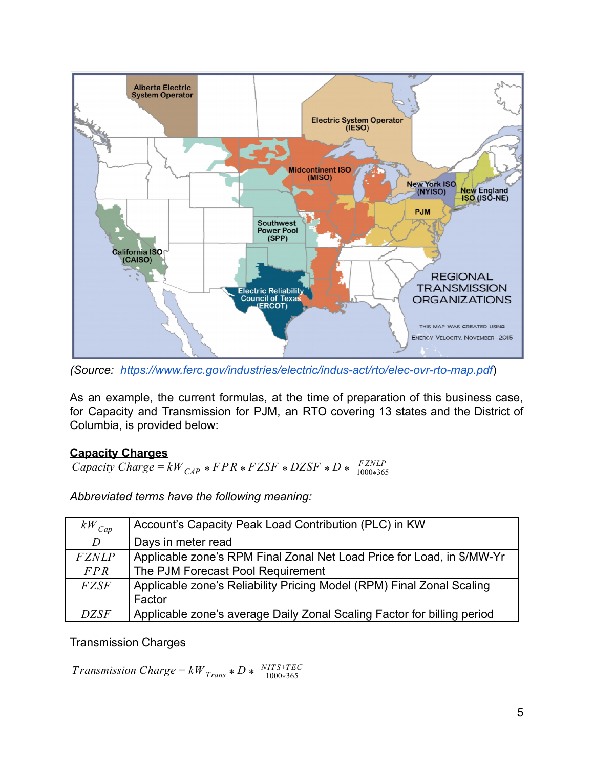

*(Source: <https://www.ferc.gov/industries/electric/indus-act/rto/elec-ovr-rto-map.pdf>*)

As an example, the current formulas, at the time of preparation of this business case, for Capacity and Transmission for PJM, an RTO covering 13 states and the District of Columbia, is provided below:

## **Capacity Charges**

 $Capacity Charge = kW_{CAP} * FPR * FZSF * DZSF * D * \frac{FZNLP}{1000 * 365}$ 1000 365 \*

*Abbreviated terms have the following meaning:* 

| $kW^{\,}_{Cap}$ | Account's Capacity Peak Load Contribution (PLC) in KW                   |
|-----------------|-------------------------------------------------------------------------|
| D               | Days in meter read                                                      |
| <b>FZNLP</b>    | Applicable zone's RPM Final Zonal Net Load Price for Load, in \$/MW-Yr  |
| FPR             | The PJM Forecast Pool Requirement                                       |
| <b>FZSF</b>     | Applicable zone's Reliability Pricing Model (RPM) Final Zonal Scaling   |
|                 | Factor                                                                  |
| <b>DZSF</b>     | Applicable zone's average Daily Zonal Scaling Factor for billing period |

Transmission Charges

*Transmission Charge* =  $kW_{Trans} * D * \frac{NITS + TEC}{1000 * 365}$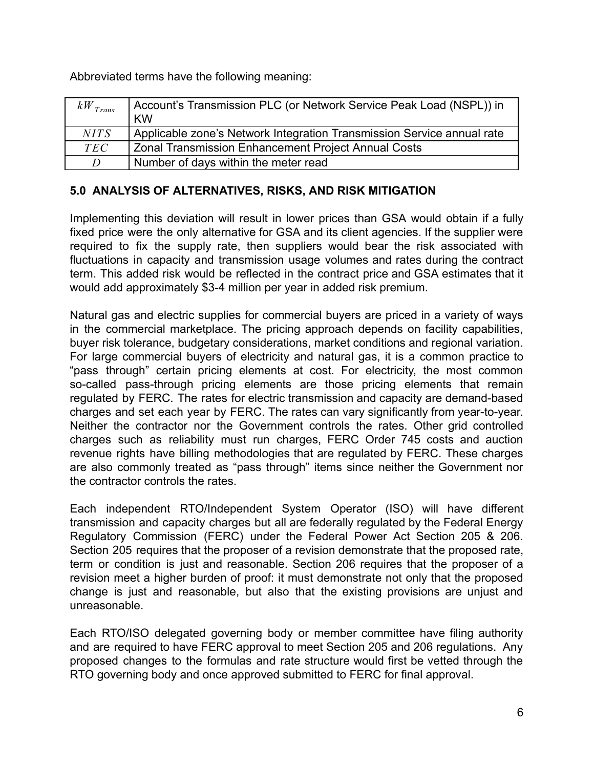Abbreviated terms have the following meaning:

| $kW_{Trans}$ | Account's Transmission PLC (or Network Service Peak Load (NSPL)) in    |
|--------------|------------------------------------------------------------------------|
|              | <b>KW</b>                                                              |
| <i>NITS</i>  | Applicable zone's Network Integration Transmission Service annual rate |
| <i>TEC</i>   | <b>Zonal Transmission Enhancement Project Annual Costs</b>             |
| D            | Number of days within the meter read                                   |

## **5.0 ANALYSIS OF ALTERNATIVES, RISKS, AND RISK MITIGATION**

Implementing this deviation will result in lower prices than GSA would obtain if a fully fixed price were the only alternative for GSA and its client agencies. If the supplier were required to fix the supply rate, then suppliers would bear the risk associated with fluctuations in capacity and transmission usage volumes and rates during the contract term. This added risk would be reflected in the contract price and GSA estimates that it would add approximately \$3-4 million per year in added risk premium.

Natural gas and electric supplies for commercial buyers are priced in a variety of ways in the commercial marketplace. The pricing approach depends on facility capabilities, buyer risk tolerance, budgetary considerations, market conditions and regional variation. For large commercial buyers of electricity and natural gas, it is a common practice to "pass through" certain pricing elements at cost. For electricity, the most common so-called pass-through pricing elements are those pricing elements that remain regulated by FERC. The rates for electric transmission and capacity are demand-based charges and set each year by FERC. The rates can vary significantly from year-to-year. Neither the contractor nor the Government controls the rates. Other grid controlled charges such as reliability must run charges, FERC Order 745 costs and auction revenue rights have billing methodologies that are regulated by FERC. These charges are also commonly treated as "pass through" items since neither the Government nor the contractor controls the rates.

Each independent RTO/Independent System Operator (ISO) will have different transmission and capacity charges but all are federally regulated by the Federal Energy Regulatory Commission (FERC) under the Federal Power Act Section 205 & 206. Section 205 requires that the proposer of a revision demonstrate that the proposed rate, term or condition is just and reasonable. Section 206 requires that the proposer of a revision meet a higher burden of proof: it must demonstrate not only that the proposed change is just and reasonable, but also that the existing provisions are unjust and unreasonable.

Each RTO/ISO delegated governing body or member committee have filing authority and are required to have FERC approval to meet Section 205 and 206 regulations. Any proposed changes to the formulas and rate structure would first be vetted through the RTO governing body and once approved submitted to FERC for final approval.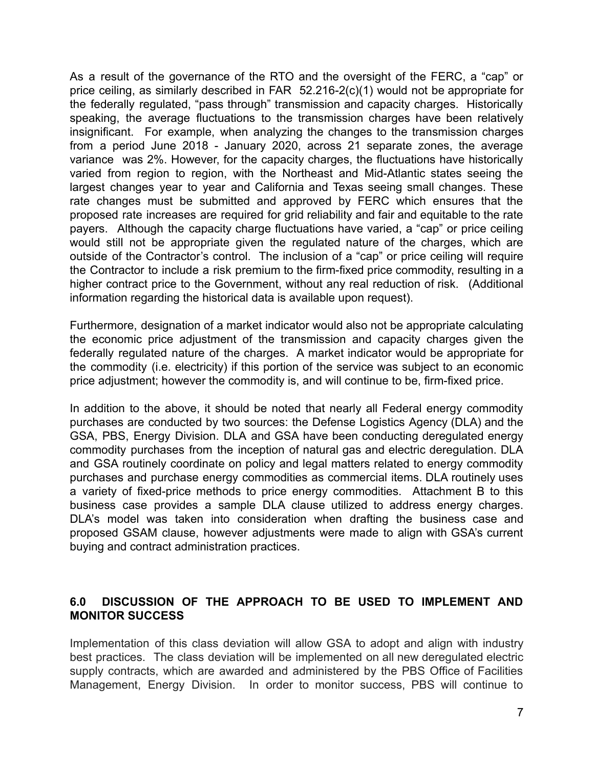As a result of the governance of the RTO and the oversight of the FERC, a "cap" or price ceiling, as similarly described in FAR 52.216-2(c)(1) would not be appropriate for the federally regulated, "pass through" transmission and capacity charges. Historically speaking, the average fluctuations to the transmission charges have been relatively insignificant. For example, when analyzing the changes to the transmission charges from a period June 2018 - January 2020, across 21 separate zones, the average variance was 2%. However, for the capacity charges, the fluctuations have historically varied from region to region, with the Northeast and Mid-Atlantic states seeing the largest changes year to year and California and Texas seeing small changes. These rate changes must be submitted and approved by FERC which ensures that the proposed rate increases are required for grid reliability and fair and equitable to the rate payers. Although the capacity charge fluctuations have varied, a "cap" or price ceiling would still not be appropriate given the regulated nature of the charges, which are outside of the Contractor's control. The inclusion of a "cap" or price ceiling will require the Contractor to include a risk premium to the firm-fixed price commodity, resulting in a higher contract price to the Government, without any real reduction of risk. (Additional information regarding the historical data is available upon request).

Furthermore, designation of a market indicator would also not be appropriate calculating the economic price adjustment of the transmission and capacity charges given the federally regulated nature of the charges. A market indicator would be appropriate for the commodity (i.e. electricity) if this portion of the service was subject to an economic price adjustment; however the commodity is, and will continue to be, firm-fixed price.

In addition to the above, it should be noted that nearly all Federal energy commodity purchases are conducted by two sources: the Defense Logistics Agency (DLA) and the GSA, PBS, Energy Division. DLA and GSA have been conducting deregulated energy commodity purchases from the inception of natural gas and electric deregulation. DLA and GSA routinely coordinate on policy and legal matters related to energy commodity purchases and purchase energy commodities as commercial items. DLA routinely uses a variety of fixed-price methods to price energy commodities. Attachment B to this business case provides a sample DLA clause utilized to address energy charges. DLA's model was taken into consideration when drafting the business case and proposed GSAM clause, however adjustments were made to align with GSA's current buying and contract administration practices.

## **6.0 DISCUSSION OF THE APPROACH TO BE USED TO IMPLEMENT AND MONITOR SUCCESS**

Implementation of this class deviation will allow GSA to adopt and align with industry best practices. The class deviation will be implemented on all new deregulated electric supply contracts, which are awarded and administered by the PBS Office of Facilities Management, Energy Division. In order to monitor success, PBS will continue to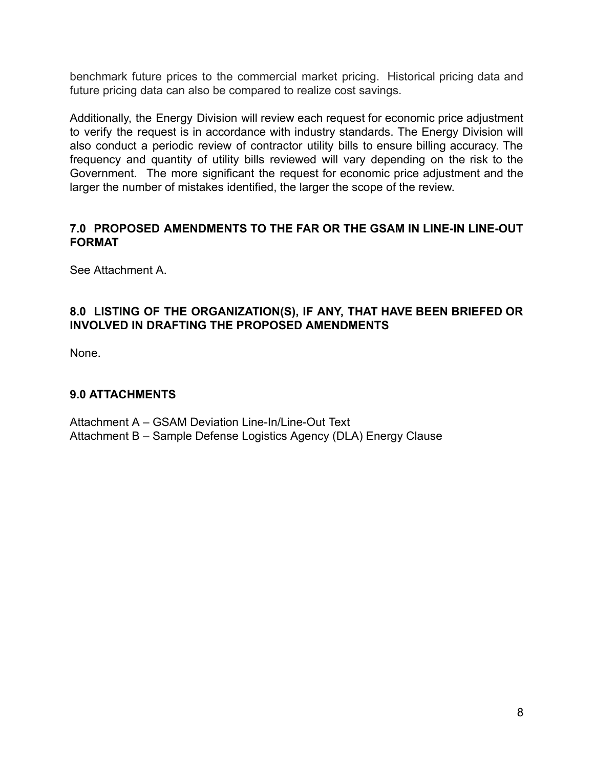benchmark future prices to the commercial market pricing. Historical pricing data and future pricing data can also be compared to realize cost savings.

Additionally, the Energy Division will review each request for economic price adjustment to verify the request is in accordance with industry standards. The Energy Division will also conduct a periodic review of contractor utility bills to ensure billing accuracy. The frequency and quantity of utility bills reviewed will vary depending on the risk to the Government. The more significant the request for economic price adjustment and the larger the number of mistakes identified, the larger the scope of the review.

#### **7.0 PROPOSED AMENDMENTS TO THE FAR OR THE GSAM IN LINE-IN LINE-OUT FORMAT**

See Attachment A.

## **8.0 LISTING OF THE ORGANIZATION(S), IF ANY, THAT HAVE BEEN BRIEFED OR INVOLVED IN DRAFTING THE PROPOSED AMENDMENTS**

None.

## **9.0 ATTACHMENTS**

Attachment A – GSAM Deviation Line-In/Line-Out Text Attachment B – Sample Defense Logistics Agency (DLA) Energy Clause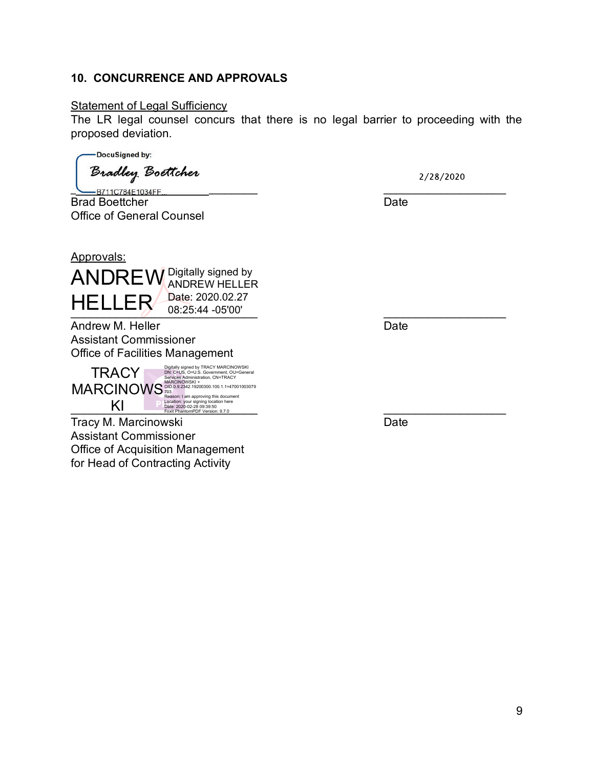#### 10. CONCURRENCE AND APPROVALS

#### **Statement of Legal Sufficiency**

The LR legal counsel concurs that there is no legal barrier to proceeding with the proposed deviation.

DocuSigned by:

Bradley Boettcher

B711C784E1034FF **Brad Boettcher Contract Contract Contract Contract Contract Contract Contract Contract Contract Contract Contract Contract Contract Contract Contract Contract Contract Contract Contract Contract Contract Contract Contra Office of General Counsel** 

2/28/2020

#### Approvals:



Andrew M. Heller **Example 2018** Date **Assistant Commissioner** Office of Facilities Management

 TRACY MARCINOWS KI

Digitally signed by TRACY MARCINOWSKI DN: C=US, O=U.S. Government, OU=General Services Administration, CN=TRACY MARCINOWSKI +<br>OID.0.9.2342.19200300.100.1.1=47001003079<br>703<br>Location: I am approving this document<br>Location: your signing location here<br>Date: 2020-02-28 09:39:50<br>Foxit PhantomPDF Version: 9.7.0

Tracy M. Marcinowski **Example 2018** Date **Assistant Commissioner Office of Acquisition Management** for Head of Contracting Activity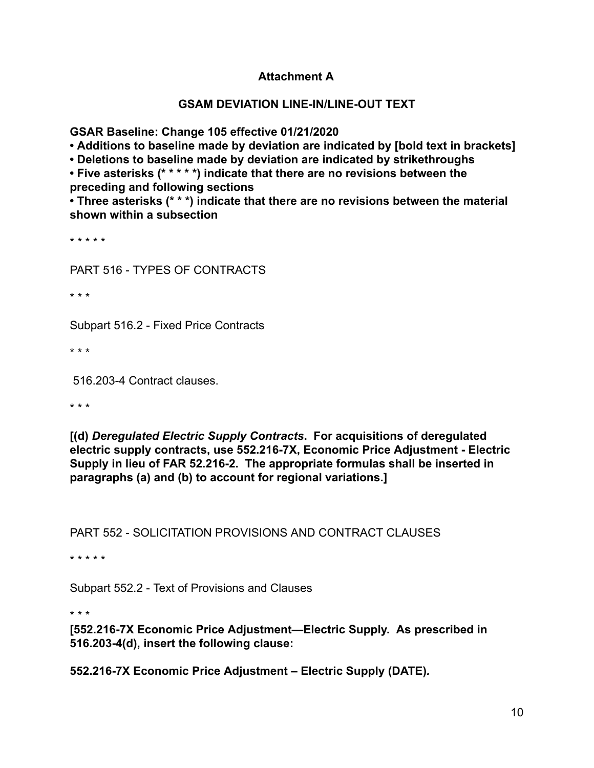## **Attachment A**

#### **GSAM DEVIATION LINE-IN/LINE-OUT TEXT**

**GSAR Baseline: Change 105 effective 01/21/2020** 

**• Additions to baseline made by deviation are indicated by [bold text in brackets]** 

**• Deletions to baseline made by deviation are indicated by strikethroughs** 

**• Five asterisks (\* \* \* \* \*) indicate that there are no revisions between the preceding and following sections** 

**• Three asterisks (\* \* \*) indicate that there are no revisions between the material shown within a subsection** 

\* \* \* \* \*

PART 516 - TYPES OF CONTRACTS

\* \* \*

Subpart 516.2 - Fixed Price Contracts

\* \* \*

516.203-4 Contract clauses.

\* \* \*

**[(d)** *Deregulated Electric Supply Contracts* **. For acquisitions of deregulated electric supply contracts, use 552.216-7X, Economic Price Adjustment - Electric Supply in lieu of FAR 52.216-2. The appropriate formulas shall be inserted in paragraphs (a) and (b) to account for regional variations.]** 

PART 552 - SOLICITATION PROVISIONS AND CONTRACT CLAUSES

\* \* \* \* \*

Subpart 552.2 - Text of Provisions and Clauses

\* \* \*

**[552.216-7X Economic Price Adjustment—Electric Supply. As prescribed in 516.203-4(d), insert the following clause:** 

**552.216-7X Economic Price Adjustment – Electric Supply (DATE)** *.*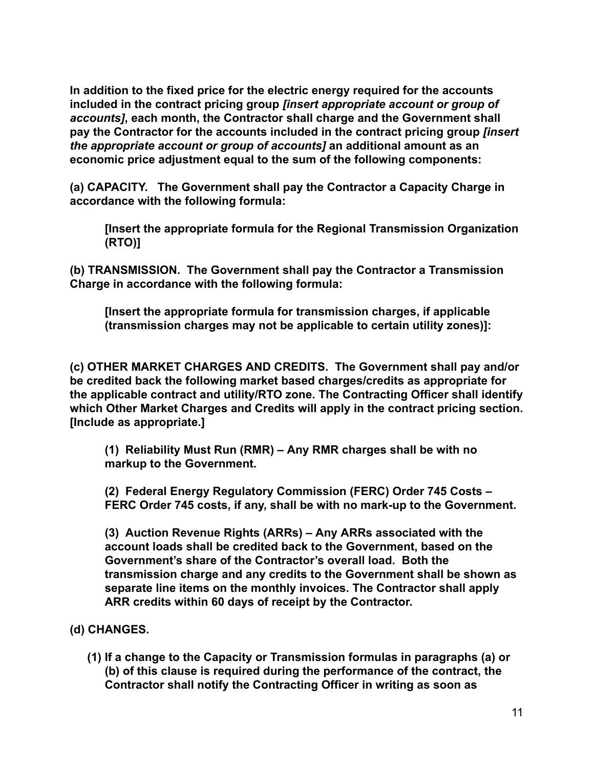**In addition to the fixed price for the electric energy required for the accounts included in the contract pricing group** *[insert appropriate account or group of accounts]* **, each month, the Contractor shall charge and the Government shall pay the Contractor for the accounts included in the contract pricing group** *[insert the appropriate account or group of accounts]* **an additional amount as an economic price adjustment equal to the sum of the following components:** 

**(a) CAPACITY. The Government shall pay the Contractor a Capacity Charge in accordance with the following formula:** 

**[Insert the appropriate formula for the Regional Transmission Organization (RTO)]** 

**(b) TRANSMISSION. The Government shall pay the Contractor a Transmission Charge in accordance with the following formula:** 

**[Insert the appropriate formula for transmission charges, if applicable (transmission charges may not be applicable to certain utility zones)]:** 

**(c) OTHER MARKET CHARGES AND CREDITS. The Government shall pay and/or be credited back the following market based charges/credits as appropriate for the applicable contract and utility/RTO zone. The Contracting Officer shall identify which Other Market Charges and Credits will apply in the contract pricing section. [Include as appropriate.]** 

**(1) Reliability Must Run (RMR) – Any RMR charges shall be with no markup to the Government.** 

**(2) Federal Energy Regulatory Commission (FERC) Order 745 Costs – FERC Order 745 costs, if any, shall be with no mark-up to the Government.** 

**(3) Auction Revenue Rights (ARRs) – Any ARRs associated with the account loads shall be credited back to the Government, based on the Government's share of the Contractor's overall load. Both the transmission charge and any credits to the Government shall be shown as separate line items on the monthly invoices. The Contractor shall apply ARR credits within 60 days of receipt by the Contractor.** 

# **(d) CHANGES.**

**(1) If a change to the Capacity or Transmission formulas in paragraphs (a) or (b) of this clause is required during the performance of the contract, the Contractor shall notify the Contracting Officer in writing as soon as**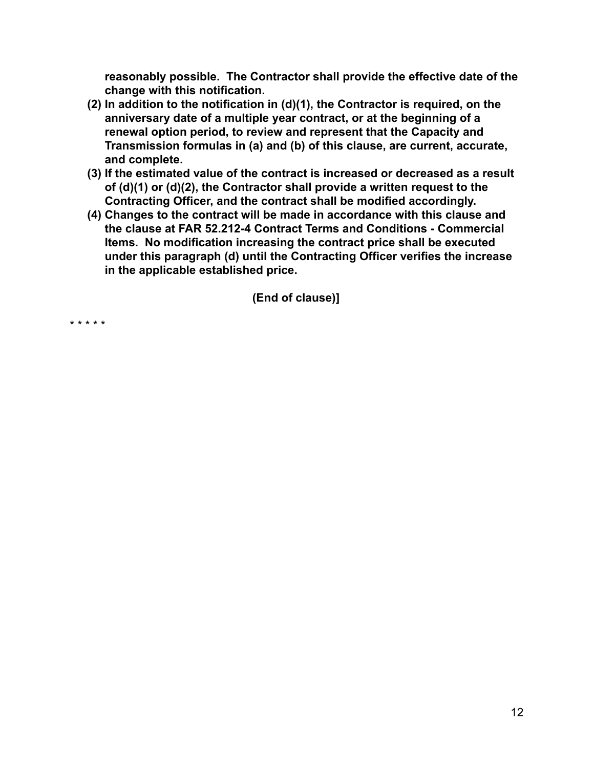**reasonably possible. The Contractor shall provide the effective date of the change with this notification.** 

- **(2) In addition to the notification in (d)(1), the Contractor is required, on the anniversary date of a multiple year contract, or at the beginning of a renewal option period, to review and represent that the Capacity and Transmission formulas in (a) and (b) of this clause, are current, accurate, and complete.**
- **(3) If the estimated value of the contract is increased or decreased as a result of (d)(1) or (d)(2), the Contractor shall provide a written request to the Contracting Officer, and the contract shall be modified accordingly.**
- **(4) Changes to the contract will be made in accordance with this clause and the clause at FAR 52.212-4 Contract Terms and Conditions - Commercial Items. No modification increasing the contract price shall be executed under this paragraph (d) until the Contracting Officer verifies the increase in the applicable established price.**

**(End of clause)]** 

\* \* \* \* \*